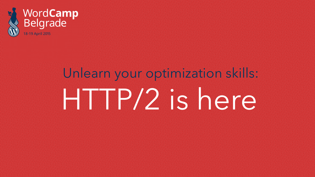

# **WordCamp**<br>Belgrade

# Unlearn your optimization skills: HTTP/2 is here

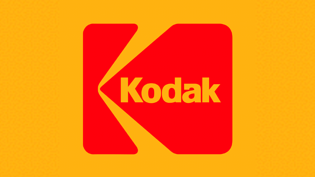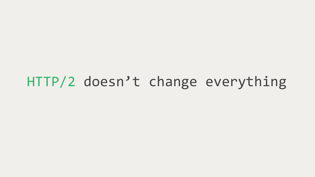#### HTTP/2 doesn't change everything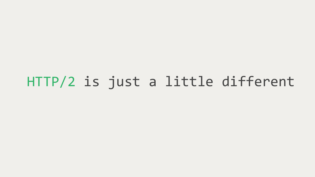HTTP/2 is just a little different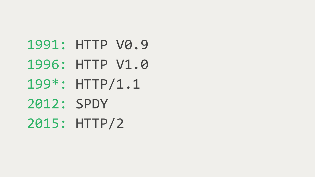## 1991: HTTP V0.9 1996: HTTP V1.0 199\*: HTTP/1.1 2015: HTTP/2 2012: SPDY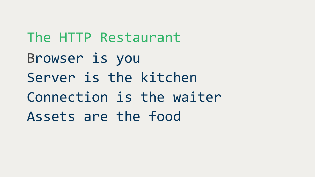The HTTP Restaurant Browser is you Server is the kitchen Connection is the waiter Assets are the food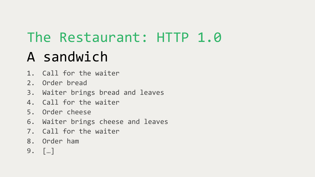#### The Restaurant: HTTP 1.0 A sandwich

- 
- 1. Call for the waiter
- 2. Order bread
- 3. Waiter brings bread and leaves
- 4. Call for the waiter
- 5. Order cheese
- 6. Waiter brings cheese and leaves
- 7. Call for the waiter
- 8. Order ham
- 9. […]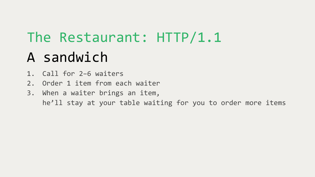## The Restaurant: HTTP/1.1 A sandwich

- 1. Call for 2–6 waiters
- 2. Order 1 item from each waiter
- 3. When a waiter brings an item, he'll stay at your table waiting for you to order more items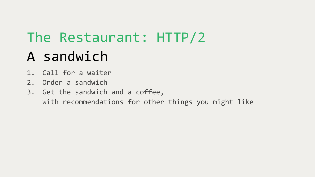## The Restaurant: HTTP/2 A sandwich

- 1. Call for a waiter
- 2. Order a sandwich
- 3. Get the sandwich and a coffee, with recommendations for other things you might like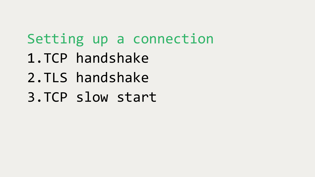### Setting up a connection

- 1.TCP handshake
- 2.TLS handshake
- 3.TCP slow start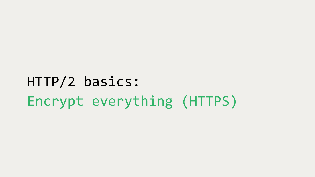HTTP/2 basics: Encrypt everything (HTTPS)

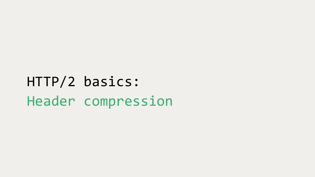### HTTP/2 basics: Header compression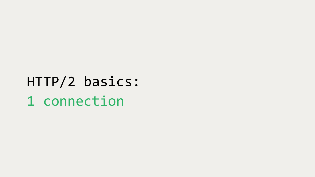HTTP/2 basics: 1 connection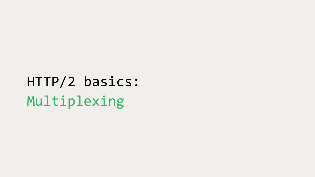HTTP/2 basics: Multiplexing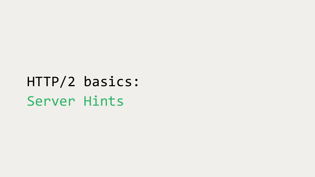HTTP/2 basics: Server Hints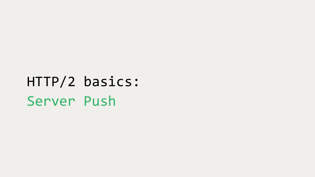HTTP/2 basics: Server Push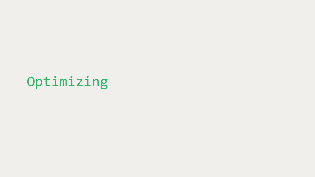Optimizing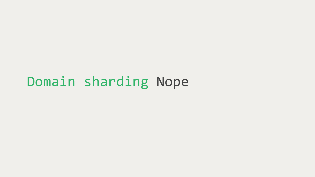#### Domain sharding Nope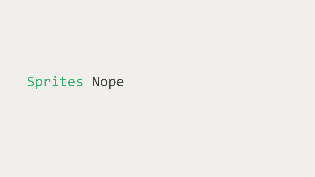#### Sprites Nope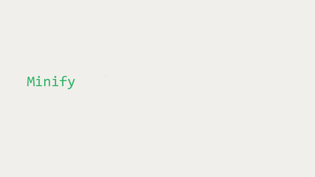Minify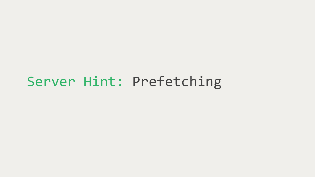#### Server Hint: Prefetching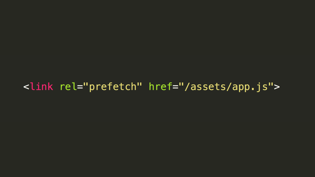#### <link rel="prefetch" href="/assets/app.js">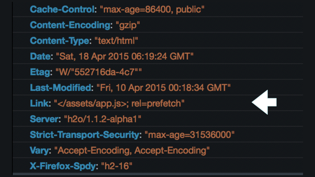| Cache-Control: "max-age=86400, public"       |
|----------------------------------------------|
| <b>Content-Encoding: "gzip"</b>              |
| Content-Type: "text/html"                    |
| Date: "Sat, 18 Apr 2015 06:19:24 GMT"        |
| Etag: "W/"552716da-4c7""                     |
| Last-Modified: "Fri, 10 Apr 2015 00:18:34 GM |
| Link: "; rel=prefetch"                       |
| Server: "h2o/1.1.2-alpha1"                   |
| Strict-Transport-Security: "max-age=315360   |
| Vary: "Accept-Encoding, Accept-Encoding"     |
| X-Firefox-Spdy: "h2-16"                      |

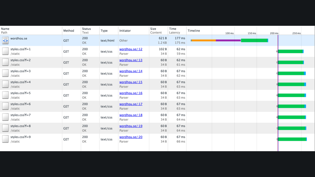| Name<br>Path                   | Method     | <b>Status</b><br>Text | Type      | Initiator                | Size<br>Content        | Time<br>Latency  | Timeline |  |
|--------------------------------|------------|-----------------------|-----------|--------------------------|------------------------|------------------|----------|--|
| wordhou.se<br><b>Base</b><br>≌ | <b>GET</b> | 200<br>OK             | text/html | Other                    | 621B<br>1.2 KB         | 177 ms<br>175 ms |          |  |
| styles.css?f=1<br>/static      | <b>GET</b> | 200<br>ОK             | text/css  | wordhou.se/:12<br>Parser | 102B<br>34B            | 62 ms<br>59 ms   |          |  |
| styles.css?f=2<br>/static      | <b>GET</b> | 200<br>OK             | text/css  | wordhou.se/:13<br>Parser | 60 <sub>B</sub><br>34B | 62 ms<br>61 ms   |          |  |
| styles.css?f=3<br>/static      | <b>GET</b> | 200<br>ОK             | text/css  | wordhou.se/:14<br>Parser | 60B<br>34B             | 67 ms<br>62 ms   |          |  |
| styles.css?f=4<br>/static      | <b>GET</b> | 200<br>OK             | text/css  | wordhou.se/:15<br>Parser | 60 <sub>B</sub><br>34B | 67 ms<br>63 ms   |          |  |
| styles.css?f=5<br>/static      | GET        | 200<br>OK             | text/css  | wordhou.se/:16<br>Parser | 60B<br>34 B            | 67 ms<br>63 ms   |          |  |
| styles.css?f=6<br>/static      | <b>GET</b> | 200<br>OK             | text/css  | wordhou.se/:17<br>Parser | 60 <sub>B</sub><br>34B | 67 ms<br>63 ms   |          |  |
| styles.css?f=7<br>/static      | <b>GET</b> | 200<br>ОΚ             | text/css  | wordhou.se/:18<br>Parser | 60B<br>34B             | 67 ms<br>64 ms   |          |  |
| styles.css?f=8<br>/static      | <b>GET</b> | 200<br>OK             | text/css  | wordhou.se/:19<br>Parser | 60 <sub>B</sub><br>34B | 67 ms<br>64 ms   |          |  |
| styles.css?f=9<br>/static      | <b>GET</b> | 200<br>OK             | text/css  | wordhou.se/:20<br>Parser | 60B<br>34B             | 67 ms<br>66 ms   |          |  |

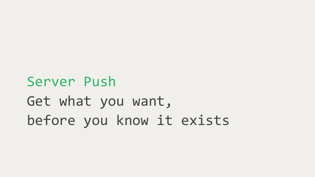Server Push Get what you want, before you know it exists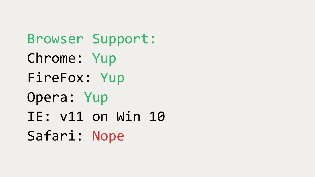Browser Support: Chrome: Yup FireFox: Yup Opera: Yup IE: v11 on Win 10 Safari: Nope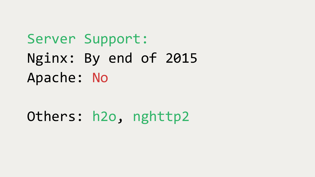### Server Support: Nginx: By end of 2015 Apache: No

Others: h2o, nghttp2